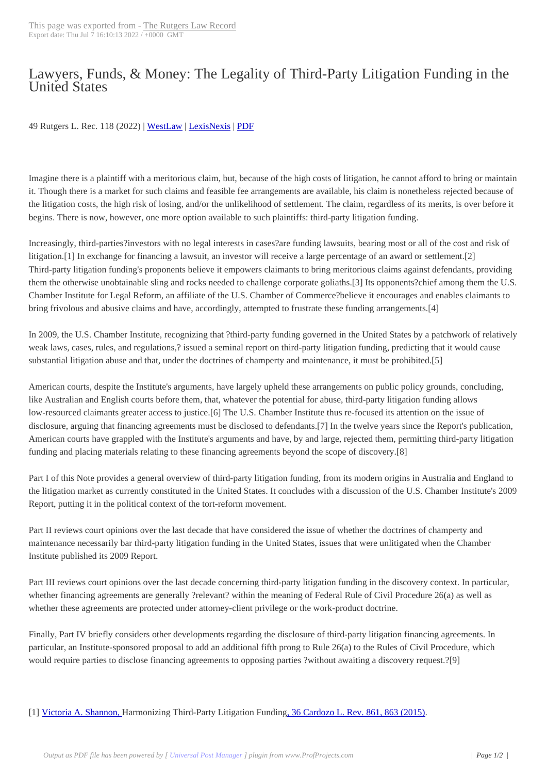## Lawyers, Funds, & [Money: The Le](https://lawrecord.com/?p=1948)gality of Third-Party Litigation Funding in the United States

## 49 Rutgers L. Rec. 118 (2022) | WestLaw | LexisNexis | PDF

Imagine there is a plaintiff with [a meritori](http://www.westlaw.com/find/default.wl?cite=49+Rutgers+L.+Rec.+118&FindType=F&ForceAction=Y&SV=Full&RS=ITK3.0&VR=1.0)o[us claim, bu](http://www.lexis.com/xlink?showcidslinks=on&ORIGINATION_CODE=00142&searchtype=get&search=49 Rutgers L. Rec. 118)t[, beca](http://lawrecord.com/files/49_Rutgers_L_Rec_118.pdf)use of the high costs of litigation, he cannot afford to bring or maintain it. Though there is a market for such claims and feasible fee arrangements are available, his claim is nonetheless rejected because of the litigation costs, the high risk of losing, and/or the unlikelihood of settlement. The claim, regardless of its merits, is over before it begins. There is now, however, one more option available to such plaintiffs: third-party litigation funding.

Increasingly, third-parties?investors with no legal interests in cases?are funding lawsuits, bearing most or all of the cost and risk of litigation.[1] In exchange for financing a lawsuit, an investor will receive a large percentage of an award or settlement.[2] Third-party litigation funding's proponents believe it empowers claimants to bring meritorious claims against defendants, providing them the otherwise unobtainable sling and rocks needed to challenge corporate goliaths.[3] Its opponents?chief among them the U.S. Chamber Institute for Legal Reform, an affiliate of the U.S. Chamber of Commerce?believe it encourages and enables claimants to bring frivolous and abusive claims and have, accordingly, attempted to frustrate these funding arrangements.[4]

In 2009, the U.S. Chamber Institute, recognizing that ?third-party funding governed in the United States by a patchwork of relatively weak laws, cases, rules, and regulations,? issued a seminal report on third-party litigation funding, predicting that it would cause substantial litigation abuse and that, under the doctrines of champerty and maintenance, it must be prohibited.[5]

American courts, despite the Institute's arguments, have largely upheld these arrangements on public policy grounds, concluding, like Australian and English courts before them, that, whatever the potential for abuse, third-party litigation funding allows low-resourced claimants greater access to justice.[6] The U.S. Chamber Institute thus re-focused its attention on the issue of disclosure, arguing that financing agreements must be disclosed to defendants.[7] In the twelve years since the Report's publication, American courts have grappled with the Institute's arguments and have, by and large, rejected them, permitting third-party litigation funding and placing materials relating to these financing agreements beyond the scope of discovery.[8]

Part I of this Note provides a general overview of third-party litigation funding, from its modern origins in Australia and England to the litigation market as currently constituted in the United States. It concludes with a discussion of the U.S. Chamber Institute's 2009 Report, putting it in the political context of the tort-reform movement.

Part II reviews court opinions over the last decade that have considered the issue of whether the doctrines of champerty and maintenance necessarily bar third-party litigation funding in the United States, issues that were unlitigated when the Chamber Institute published its 2009 Report.

Part III reviews court opinions over the last decade concerning third-party litigation funding in the discovery context. In particular, whether financing agreements are generally ?relevant? within the meaning of Federal Rule of Civil Procedure 26(a) as well as whether these agreements are protected under attorney-client privilege or the work-product doctrine.

Finally, Part IV briefly considers other developments regarding the disclosure of third-party litigation financing agreements. In particular, an Institute-sponsored proposal to add an additional fifth prong to Rule 26(a) to the Rules of Civil Procedure, which would require parties to disclose financing agreements to opposing parties ?without awaiting a discovery request.?[9]

[1] Victoria A. Shannon, Harmonizing Third-Party Litigation Funding, 36 Cardozo L. Rev. 861, 863 (2015).